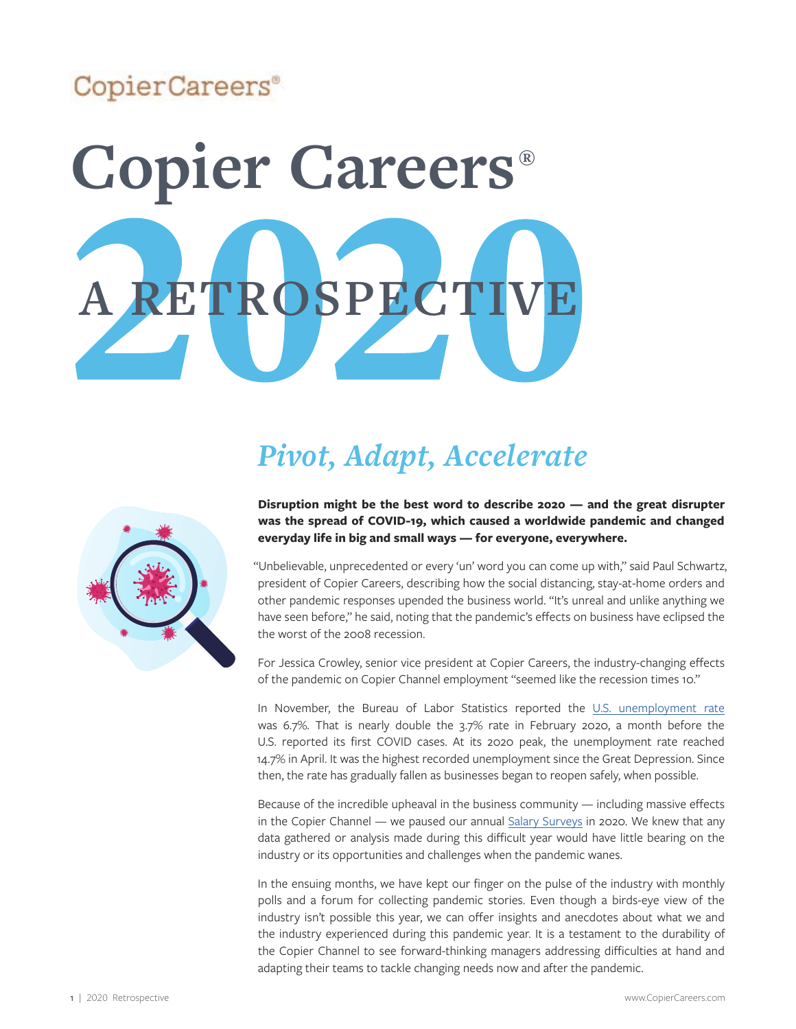# CopierCareers<sup>®</sup>

# **Copier Careers® A RETROSPECTIV**

# *Pivot, Adapt, Accelerate*



#### **Disruption might be the best word to describe 2020 — and the great disrupter was the spread of COVID-19, which caused a worldwide pandemic and changed everyday life in big and small ways — for everyone, everywhere.**

"Unbelievable, unprecedented or every 'un' word you can come up with," said Paul Schwartz, president of Copier Careers, describing how the social distancing, stay-at-home orders and other pandemic responses upended the business world. "It's unreal and unlike anything we have seen before," he said, noting that the pandemic's effects on business have eclipsed the the worst of the 2008 recession.

For Jessica Crowley, senior vice president at Copier Careers, the industry-changing effects of the pandemic on Copier Channel employment "seemed like the recession times 10."

In November, the Bureau of Labor Statistics reported the [U.S. unemployment rate](https://www.thebalance.com/current-u-s-unemployment-rate-statistics-and-news-3305733) was 6.7%. That is nearly double the 3.7% rate in February 2020, a month before the U.S. reported its first COVID cases. At its 2020 peak, the unemployment rate reached 14.7% in April. It was the highest recorded unemployment since the Great Depression. Since then, the rate has gradually fallen as businesses began to reopen safely, when possible.

Because of the incredible upheaval in the business community — including massive effects in the Copier Channel — we paused our annual [Salary Surveys](https://copiercareers.com/copier-channel/news/copier-careers-delays-2020-salary-surveys-covid-19-coronavirus/) in 2020. We knew that any data gathered or analysis made during this difficult year would have little bearing on the industry or its opportunities and challenges when the pandemic wanes.

In the ensuing months, we have kept our finger on the pulse of the industry with monthly polls and a forum for collecting pandemic stories. Even though a birds-eye view of the industry isn't possible this year, we can offer insights and anecdotes about what we and the industry experienced during this pandemic year. It is a testament to the durability of the Copier Channel to see forward-thinking managers addressing difficulties at hand and adapting their teams to tackle changing needs now and after the pandemic.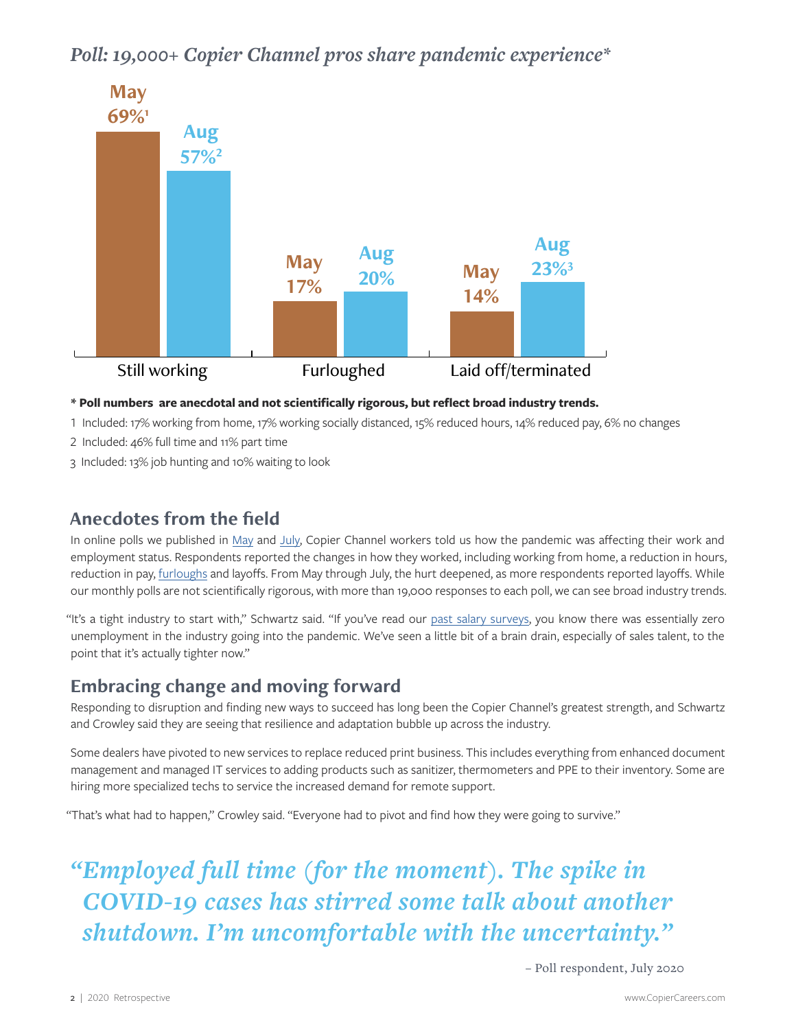## *Poll: 19,000+ Copier Channel pros share pandemic experience\**



#### **\* Poll numbers are anecdotal and not scientifically rigorous, but reflect broad industry trends.**

1 Included: 17% working from home, 17% working socially distanced, 15% reduced hours, 14% reduced pay, 6% no changes

- 2 Included: 46% full time and 11% part time
- 3 Included: 13% job hunting and 10% waiting to look

#### **Anecdotes from the field**

In online polls we published in [May](https://copiercareers.com/copier-channel/polls/poll-covid-19-work-life-effects-coronavirus/) and [July,](https://copiercareers.com/copier-channel/polls/poll-what-is-your-current-employment-status/) Copier Channel workers told us how the pandemic was affecting their work and employment status. Respondents reported the changes in how they worked, including working from home, a reduction in hours, reduction in pay, *furloughs* and layoffs. From May through July, the hurt deepened, as more respondents reported layoffs. While our monthly polls are not scientifically rigorous, with more than 19,000 responses to each poll, we can see broad industry trends.

"It's a tight industry to start with," Schwartz said. "If you've read our [past salary surveys](https://copiercareers.com/news-resources/salary-surveys/), you know there was essentially zero unemployment in the industry going into the pandemic. We've seen a little bit of a brain drain, especially of sales talent, to the point that it's actually tighter now."

#### **Embracing change and moving forward**

Responding to disruption and finding new ways to succeed has long been the Copier Channel's greatest strength, and Schwartz and Crowley said they are seeing that resilience and adaptation bubble up across the industry.

Some dealers have pivoted to new services to replace reduced print business. This includes everything from enhanced document management and managed IT services to adding products such as sanitizer, thermometers and PPE to their inventory. Some are hiring more specialized techs to service the increased demand for remote support.

"That's what had to happen," Crowley said. "Everyone had to pivot and find how they were going to survive."

*"Employed full time (for the moment). The spike in COVID-19 cases has stirred some talk about another shutdown. I'm uncomfortable with the uncertainty."* 

– Poll respondent, July 2020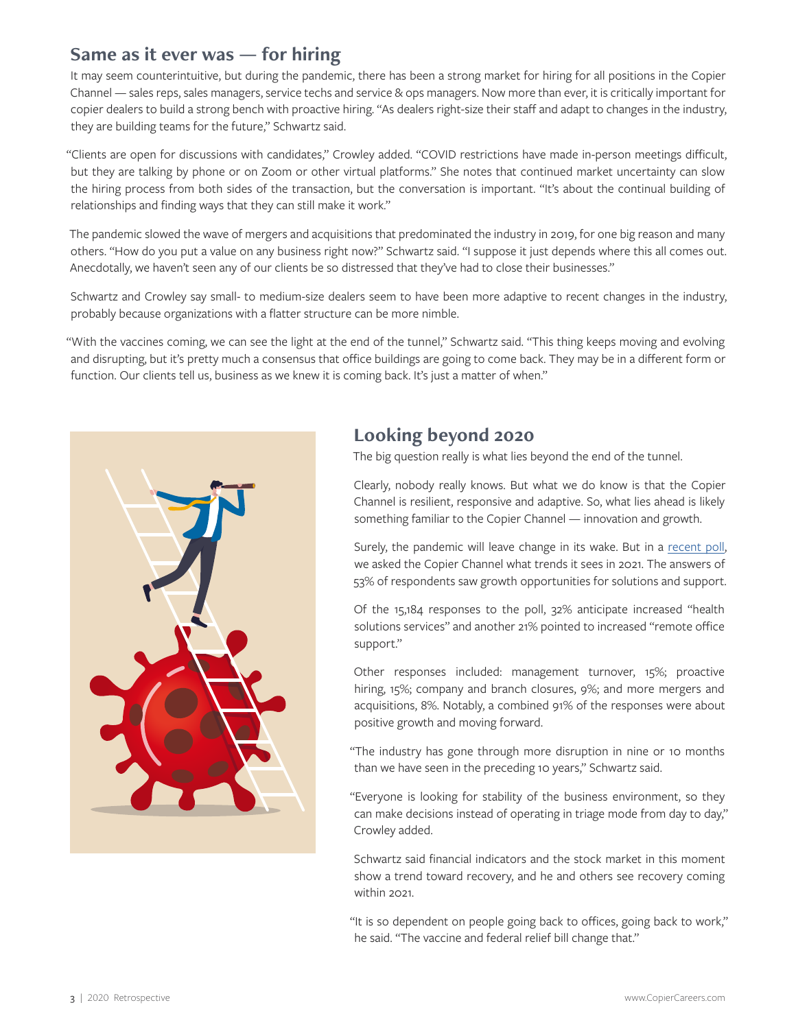#### **Same as it ever was — for hiring**

It may seem counterintuitive, but during the pandemic, there has been a strong market for hiring for all positions in the Copier Channel — sales reps, sales managers, service techs and service & ops managers. Now more than ever, it is critically important for copier dealers to build a strong bench with proactive hiring. "As dealers right-size their staff and adapt to changes in the industry, they are building teams for the future," Schwartz said.

"Clients are open for discussions with candidates," Crowley added. "COVID restrictions have made in-person meetings difficult, but they are talking by phone or on Zoom or other virtual platforms." She notes that continued market uncertainty can slow the hiring process from both sides of the transaction, but the conversation is important. "It's about the continual building of relationships and finding ways that they can still make it work."

The pandemic slowed the wave of mergers and acquisitions that predominated the industry in 2019, for one big reason and many others. "How do you put a value on any business right now?" Schwartz said. "I suppose it just depends where this all comes out. Anecdotally, we haven't seen any of our clients be so distressed that they've had to close their businesses."

Schwartz and Crowley say small- to medium-size dealers seem to have been more adaptive to recent changes in the industry, probably because organizations with a flatter structure can be more nimble.

"With the vaccines coming, we can see the light at the end of the tunnel," Schwartz said. "This thing keeps moving and evolving and disrupting, but it's pretty much a consensus that office buildings are going to come back. They may be in a different form or function. Our clients tell us, business as we knew it is coming back. It's just a matter of when."



## **Looking beyond 2020**

The big question really is what lies beyond the end of the tunnel.

Clearly, nobody really knows. But what we do know is that the Copier Channel is resilient, responsive and adaptive. So, what lies ahead is likely something familiar to the Copier Channel — innovation and growth.

Surely, the pandemic will leave change in its wake. But in a [recent poll](https://copiercareers.com/copier-channel/newsletters/newsletter-december-2020/#poll), we asked the Copier Channel what trends it sees in 2021. The answers of 53% of respondents saw growth opportunities for solutions and support.

Of the 15,184 responses to the poll, 32% anticipate increased "health solutions services" and another 21% pointed to increased "remote office support."

Other responses included: management turnover, 15%; proactive hiring, 15%; company and branch closures, 9%; and more mergers and acquisitions, 8%. Notably, a combined 91% of the responses were about positive growth and moving forward.

"The industry has gone through more disruption in nine or 10 months than we have seen in the preceding 10 years," Schwartz said.

"Everyone is looking for stability of the business environment, so they can make decisions instead of operating in triage mode from day to day," Crowley added.

Schwartz said financial indicators and the stock market in this moment show a trend toward recovery, and he and others see recovery coming within 2021.

"It is so dependent on people going back to offices, going back to work," he said. "The vaccine and federal relief bill change that."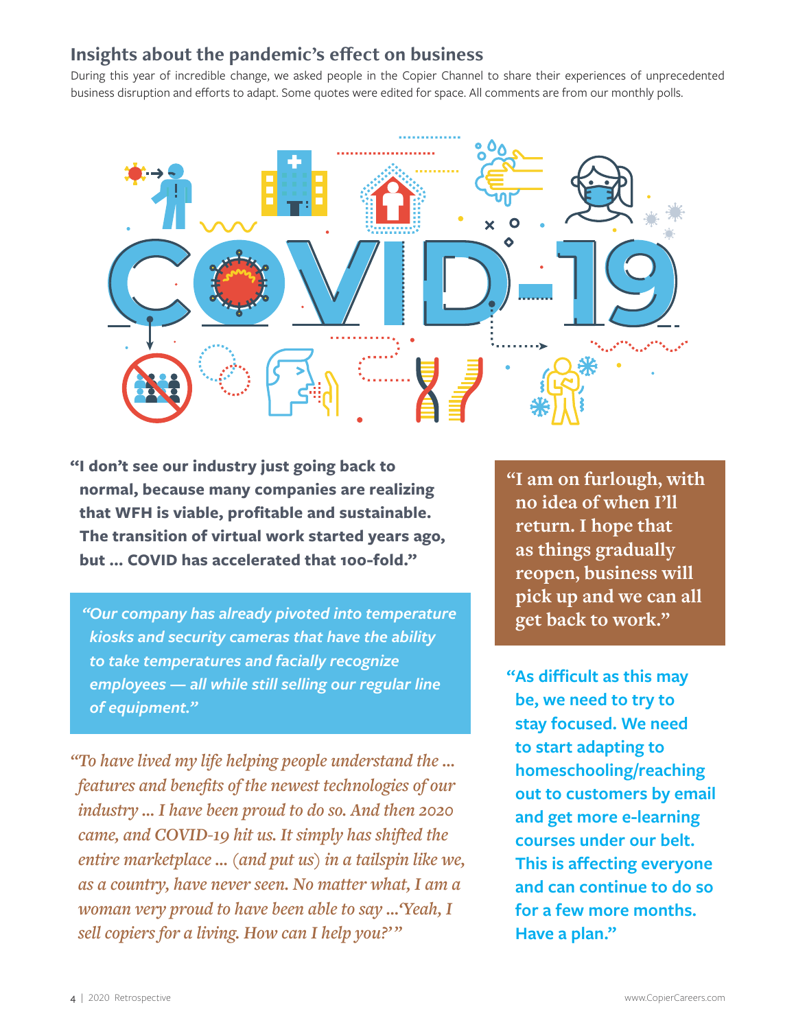### **Insights about the pandemic's effect on business**

During this year of incredible change, we asked people in the Copier Channel to share their experiences of unprecedented business disruption and efforts to adapt. Some quotes were edited for space. All comments are from our monthly polls.



**"I don't see our industry just going back to normal, because many companies are realizing that WFH is viable, profitable and sustainable. The transition of virtual work started years ago, but … COVID has accelerated that 100-fold."**

**get back to work."** *"Our company has already pivoted into temperature kiosks and security cameras that have the ability to take temperatures and facially recognize employees — all while still selling our regular line of equipment."*

*"To have lived my life helping people understand the … features and benefits of the newest technologies of our industry … I have been proud to do so. And then 2020 came, and COVID-19 hit us. It simply has shifted the entire marketplace … (and put us) in a tailspin like we, as a country, have never seen. No matter what, I am a woman very proud to have been able to say …'Yeah, I sell copiers for a living. How can I help you?'"*

**"I am on furlough, with no idea of when I'll return. I hope that as things gradually reopen, business will pick up and we can all** 

**"As difficult as this may be, we need to try to stay focused. We need to start adapting to homeschooling/reaching out to customers by email and get more e-learning courses under our belt. This is affecting everyone and can continue to do so for a few more months. Have a plan."**